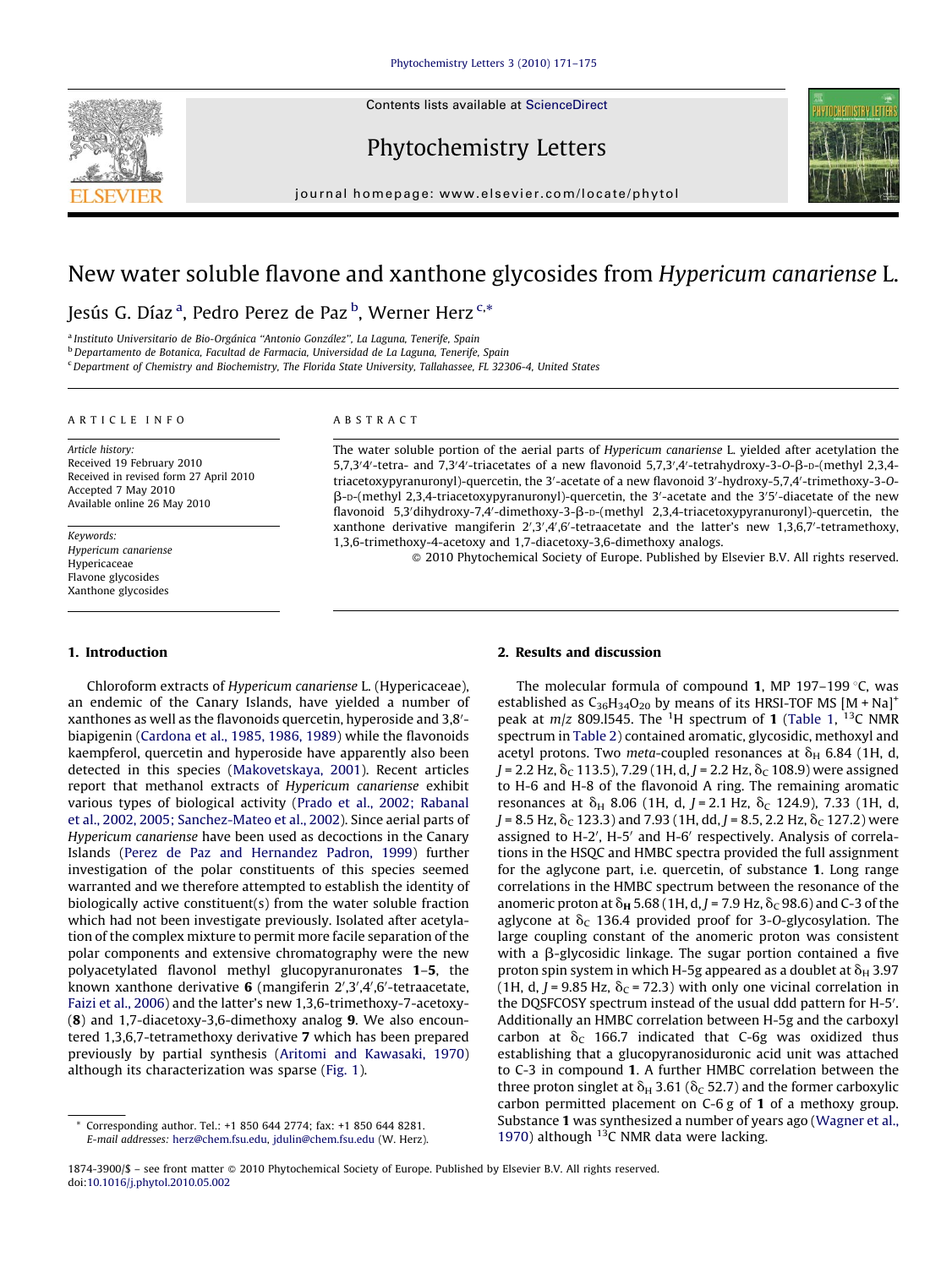Contents lists available at [ScienceDirect](http://www.sciencedirect.com/science/journal/18743900)



Phytochemistry Letters



journal homepage: www.elsevier.com/locate/phytol

# New water soluble flavone and xanthone glycosides from Hypericum canariense L.

## Jesús G. Díaz <sup>a</sup>, Pedro Perez de Paz <sup>b</sup>, Werner Herz <sup>c,</sup>\*

<sup>a</sup> Instituto Universitario de Bio-Orgánica "Antonio González", La Laguna, Tenerife, Spain

<sup>b</sup> Departamento de Botanica, Facultad de Farmacia, Universidad de La Laguna, Tenerife, Spain

<sup>c</sup> Department of Chemistry and Biochemistry, The Florida State University, Tallahassee, FL 32306-4, United States

### ARTICLE INFO

Article history: Received 19 February 2010 Received in revised form 27 April 2010 Accepted 7 May 2010 Available online 26 May 2010

Keywords: Hypericum canariense Hypericaceae Flavone glycosides Xanthone glycosides

#### 1. Introduction

Chloroform extracts of Hypericum canariense L. (Hypericaceae), an endemic of the Canary Islands, have yielded a number of xanthones as well as the flavonoids quercetin, hyperoside and 3,8'biapigenin [\(Cardona et al., 1985, 1986, 1989\)](#page-4-0) while the flavonoids kaempferol, quercetin and hyperoside have apparently also been detected in this species ([Makovetskaya, 2001](#page-4-0)). Recent articles report that methanol extracts of Hypericum canariense exhibit various types of biological activity ([Prado et al., 2002; Rabanal](#page-4-0) [et al., 2002, 2005; Sanchez-Mateo et al., 2002\)](#page-4-0). Since aerial parts of Hypericum canariense have been used as decoctions in the Canary Islands ([Perez de Paz and Hernandez Padron, 1999](#page-4-0)) further investigation of the polar constituents of this species seemed warranted and we therefore attempted to establish the identity of biologically active constituent(s) from the water soluble fraction which had not been investigate previously. Isolated after acetylation of the complex mixture to permit more facile separation of the polar components and extensive chromatography were the new polyacetylated flavonol methyl glucopyranuronates 1–5, the known xanthone derivative  $6$  (mangiferin  $2^{\prime}, 3^{\prime}, 4^{\prime}, 6^{\prime}$ -tetraacetate, [Faizi et al., 2006](#page-4-0)) and the latter's new 1,3,6-trimethoxy-7-acetoxy- (8) and 1,7-diacetoxy-3,6-dimethoxy analog 9. We also encountered 1,3,6,7-tetramethoxy derivative 7 which has been prepared previously by partial synthesis [\(Aritomi and Kawasaki, 1970\)](#page-4-0) although its characterization was sparse [\(Fig. 1\)](#page-1-0).

## ABSTRACT

The water soluble portion of the aerial parts of Hypericum canariense L. yielded after acetylation the  $5,7,3'4'$ -tetra- and  $7,3'4'$ -triacetates of a new flavonoid  $5,7,3',4'$ -tetrahydroxy-3-O- $\beta$ -D- $($ methyl 2,3,4triacetoxypyranuronyl)-quercetin, the 3'-acetate of a new flavonoid 3'-hydroxy-5,7,4'-trimethoxy-3-O- $\beta$ -D-(methyl 2,3,4-triacetoxypyranuronyl)-quercetin, the 3'-acetate and the 3'5'-diacetate of the new flavonoid 5,3'dihydroxy-7,4'-dimethoxy-3- $\beta$ -D-(methyl 2,3,4-triacetoxypyranuronyl)-quercetin, the xanthone derivative mangiferin  $2^{\prime},3^{\prime},4^{\prime},6^{\prime}$ -tetraacetate and the latter's new 1,3,6,7'-tetramethoxy 1,3,6-trimethoxy-4-acetoxy and 1,7-diacetoxy-3,6-dimethoxy analogs.

- 2010 Phytochemical Society of Europe. Published by Elsevier B.V. All rights reserved.

### 2. Results and discussion

The molecular formula of compound 1, MP 197-199 $\degree$ C, was established as  $C_{36}H_{34}O_{20}$  by means of its HRSI-TOF MS  $[M + Na]^{+}$ peak at  $m/z$  809.1545. The <sup>1</sup>H spectrum of **1** [\(Table 1](#page-1-0), <sup>13</sup>C NMR spectrum in [Table 2](#page-2-0)) contained aromatic, glycosidic, methoxyl and acetyl protons. Two meta-coupled resonances at  $\delta_H$  6.84 (1H, d,  $J = 2.2$  Hz,  $\delta_C$  113.5), 7.29 (1H, d, J = 2.2 Hz,  $\delta_C$  108.9) were assigned to H-6 and H-8 of the flavonoid A ring. The remaining aromatic resonances at  $\delta_H$  8.06 (1H, d, J = 2.1 Hz,  $\delta_C$  124.9), 7.33 (1H, d,  $J = 8.5$  Hz,  $\delta_C$  123.3) and 7.93 (1H, dd,  $J = 8.5$ , 2.2 Hz,  $\delta_C$  127.2) were assigned to H-2', H-5' and H-6' respectively. Analysis of correlations in the HSQC and HMBC spectra provided the full assignment for the aglycone part, i.e. quercetin, of substance 1. Long range correlations in the HMBC spectrum between the resonance of the anomeric proton at  $\delta_{\rm H}$  5.68 (1H, d, J = 7.9 Hz,  $\delta_C$  98.6) and C-3 of the aglycone at  $\delta_c$  136.4 provided proof for 3-O-glycosylation. The large coupling constant of the anomeric proton was consistent with a  $\beta$ -glycosidic linkage. The sugar portion contained a five proton spin system in which H-5g appeared as a doublet at  $\delta_H$  3.97 (1H, d, J = 9.85 Hz,  $\delta_C$  = 72.3) with only one vicinal correlation in the DQSFCOSY spectrum instead of the usual ddd pattern for H-5'. Additionally an HMBC correlation between H-5g and the carboxyl carbon at  $\delta_c$  166.7 indicated that C-6g was oxidized thus establishing that a glucopyranosiduronic acid unit was attached to C-3 in compound 1. A further HMBC correlation between the three proton singlet at  $\delta_H$  3.61 ( $\delta_C$  52.7) and the former carboxylic carbon permitted placement on C-6 g of 1 of a methoxy group. Substance 1 was synthesized a number of years ago ([Wagner et al.,](#page-4-0) [1970\)](#page-4-0) although  $^{13}$ C NMR data were lacking.

Corresponding author. Tel.: +1 850 644 2774; fax: +1 850 644 8281. E-mail addresses: [herz@chem.fsu.edu](mailto:herz@chem.fsu.edu), [jdulin@chem.fsu.edu](mailto:jdulin@chem.fsu.edu) (W. Herz).

<sup>1874-3900/\$ –</sup> see front matter © 2010 Phytochemical Society of Europe. Published by Elsevier B.V. All rights reserved. doi:[10.1016/j.phytol.2010.05.002](http://dx.doi.org/10.1016/j.phytol.2010.05.002)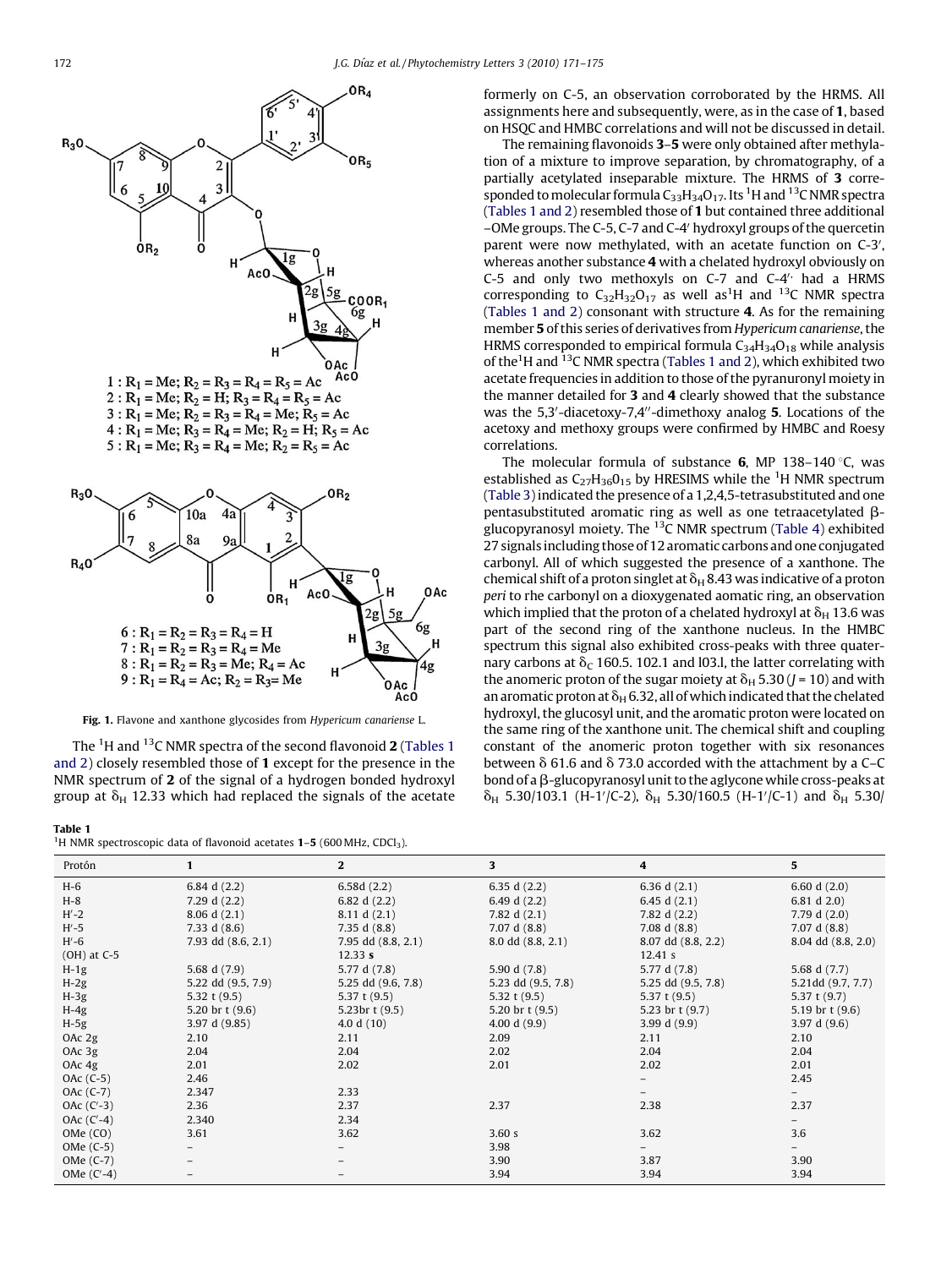<span id="page-1-0"></span>

Fig. 1. Flavone and xanthone glycosides from Hypericum canariense L.

The  $^1$ H and  $^{13}$ C NMR spectra of the second flavonoid 2 (Tables 1 and 2) closely resembled those of 1 except for the presence in the NMR spectrum of 2 of the signal of a hydrogen bonded hydroxyl group at  $\delta_H$  12.33 which had replaced the signals of the acetate

Table 1

| <sup>1</sup> H NMR spectroscopic data of flavonoid acetates $1-5$ (600 MHz, CDCl <sub>3</sub> ). |  |
|--------------------------------------------------------------------------------------------------|--|
|--------------------------------------------------------------------------------------------------|--|

formerly on C-5, an observation corroborated by the HRMS. All assignments here and subsequently, were, as in the case of 1, based on HSQC and HMBC correlations and will not be discussed in detail.

The remaining flavonoids 3–5 were only obtained after methylation of a mixture to improve separation, by chromatography, of a partially acetylated inseparable mixture. The HRMS of 3 corresponded to molecular formula  $C_{33}H_{34}O_{17}$ . Its <sup>1</sup>H and <sup>13</sup>C NMR spectra (Tables 1 and 2) resembled those of 1 but contained three additional –OMe groups. The C-5, C-7 and C-4<sup>0</sup> hydroxyl groups of the quercetin parent were now methylated, with an acetate function on C-3', whereas another substance 4 with a chelated hydroxyl obviously on C-5 and only two methoxyls on C-7 and C-4 $^{\prime}$  had a HRMS corresponding to  $C_{32}H_{32}O_{17}$  as well as<sup>1</sup>H and <sup>13</sup>C NMR spectra (Tables 1 and 2) consonant with structure 4. As for the remaining member 5 of this series of derivatives from Hypericum canariense, the HRMS corresponded to empirical formula  $C_{34}H_{34}O_{18}$  while analysis of the<sup>1</sup>H and <sup>13</sup>C NMR spectra (Tables 1 and 2), which exhibited two acetate frequencies in addition to those of the pyranuronyl moiety in the manner detailed for 3 and 4 clearly showed that the substance was the 5,3'-diacetoxy-7,4"-dimethoxy analog 5. Locations of the acetoxy and methoxy groups were confirmed by HMBC and Roesy correlations.

The molecular formula of substance  $6$ , MP 138-140 °C, was established as  $C_{27}H_{36}O_{15}$  by HRESIMS while the <sup>1</sup>H NMR spectrum ([Table 3](#page-2-0)) indicated the presence of a 1,2,4,5-tetrasubstituted and one pentasubstituted aromatic ring as well as one tetraacetylated  $\beta$ glucopyranosyl moiety. The  $^{13}$ C NMR spectrum ([Table 4](#page-3-0)) exhibited 27 signals including those of 12 aromatic carbons and one conjugated carbonyl. All of which suggested the presence of a xanthone. The chemical shift of a proton singlet at  $\delta_H$  8.43 was indicative of a proton peri to rhe carbonyl on a dioxygenated aomatic ring, an observation which implied that the proton of a chelated hydroxyl at  $\delta_H$  13.6 was part of the second ring of the xanthone nucleus. In the HMBC spectrum this signal also exhibited cross-peaks with three quaternary carbons at  $\delta_c$  160.5. 102.1 and l03.l, the latter correlating with the anomeric proton of the sugar moiety at  $\delta_H$  5.30 (J = 10) and with an aromatic proton at  $\delta_H$  6.32, all of which indicated that the chelated hydroxyl, the glucosyl unit, and the aromatic proton were located on the same ring of the xanthone unit. The chemical shift and coupling constant of the anomeric proton together with six resonances between  $\delta$  61.6 and  $\delta$  73.0 accorded with the attachment by a C–C bond of a  $\beta$ -glucopyranosyl unit to the aglycone while cross-peaks at  $\delta_H$  5.30/103.1 (H-1/ C-2),  $\delta_H$  5.30/160.5 (H-1/ C-1) and  $\delta_H$  5.30/

| Protón          | $\mathbf{1}$       | $\mathbf{2}$        | 3                  | 4                  | 5                  |
|-----------------|--------------------|---------------------|--------------------|--------------------|--------------------|
| $H-6$           | 6.84 d $(2.2)$     | 6.58d(2.2)          | 6.35 d $(2.2)$     | 6.36 d $(2.1)$     | 6.60 d $(2.0)$     |
| $H-8$           | 7.29 d $(2.2)$     | 6.82 d $(2.2)$      | 6.49 d $(2.2)$     | 6.45 d $(2.1)$     | 6.81 d $2.0$ )     |
| $H'-2$          | 8.06 d(2.1)        | 8.11 d(2.1)         | 7.82 d $(2.1)$     | 7.82 d (2.2)       | 7.79 d $(2.0)$     |
| $H'-5$          | 7.33 d $(8.6)$     | 7.35 d $(8.8)$      | 7.07 d(8.8)        | 7.08 d $(8.8)$     | 7.07 d(8.8)        |
| $H'-6$          | 7.93 dd (8.6, 2.1) | 7.95 dd (8.8, 2.1)  | 8.0 dd (8.8, 2.1)  | 8.07 dd (8.8, 2.2) | 8.04 dd (8.8, 2.0) |
| $(OH)$ at $C-5$ |                    | 12.33 s             |                    | 12.41 s            |                    |
| $H-1g$          | 5.68 d (7.9)       | 5.77 d (7.8)        | 5.90 d (7.8)       | 5.77 d (7.8)       | 5.68 d (7.7)       |
| $H-2g$          | 5.22 dd (9.5, 7.9) | 5.25 dd (9.6, 7.8)  | 5.23 dd (9.5, 7.8) | 5.25 dd (9.5, 7.8) | 5.21dd (9.7, 7.7)  |
| $H-3g$          | 5.32 t $(9.5)$     | 5.37 t $(9.5)$      | 5.32 t $(9.5)$     | 5.37 t $(9.5)$     | 5.37 t $(9.7)$     |
| $H-4g$          | 5.20 br $t(9.6)$   | 5.23 $br$ t $(9.5)$ | 5.20 br $t(9.5)$   | 5.23 br $t(9.7)$   | 5.19 br $t(9.6)$   |
| $H-5g$          | 3.97 d (9.85)      | 4.0 d $(10)$        | 4.00 d $(9.9)$     | 3.99 d $(9.9)$     | 3.97 d $(9.6)$     |
| OAc 2g          | 2.10               | 2.11                | 2.09               | 2.11               | 2.10               |
| OAc 3g          | 2.04               | 2.04                | 2.02               | 2.04               | 2.04               |
| OAc 4g          | 2.01               | 2.02                | 2.01               | 2.02               | 2.01               |
| $OAc(C-5)$      | 2.46               |                     |                    |                    | 2.45               |
| OAc (C-7)       | 2.347              | 2.33                |                    |                    |                    |
| OAc $(C-3)$     | 2.36               | 2.37                | 2.37               | 2.38               | 2.37               |
| OAc $(C-4)$     | 2.340              | 2.34                |                    |                    |                    |
| OMe (CO)        | 3.61               | 3.62                | 3.60 s             | 3.62               | 3.6                |
| OMe (C-5)       |                    |                     | 3.98               |                    |                    |
| OMe (C-7)       |                    |                     | 3.90               | 3.87               | 3.90               |
| OMe $(C'-4)$    |                    |                     | 3.94               | 3.94               | 3.94               |

 $Ac0$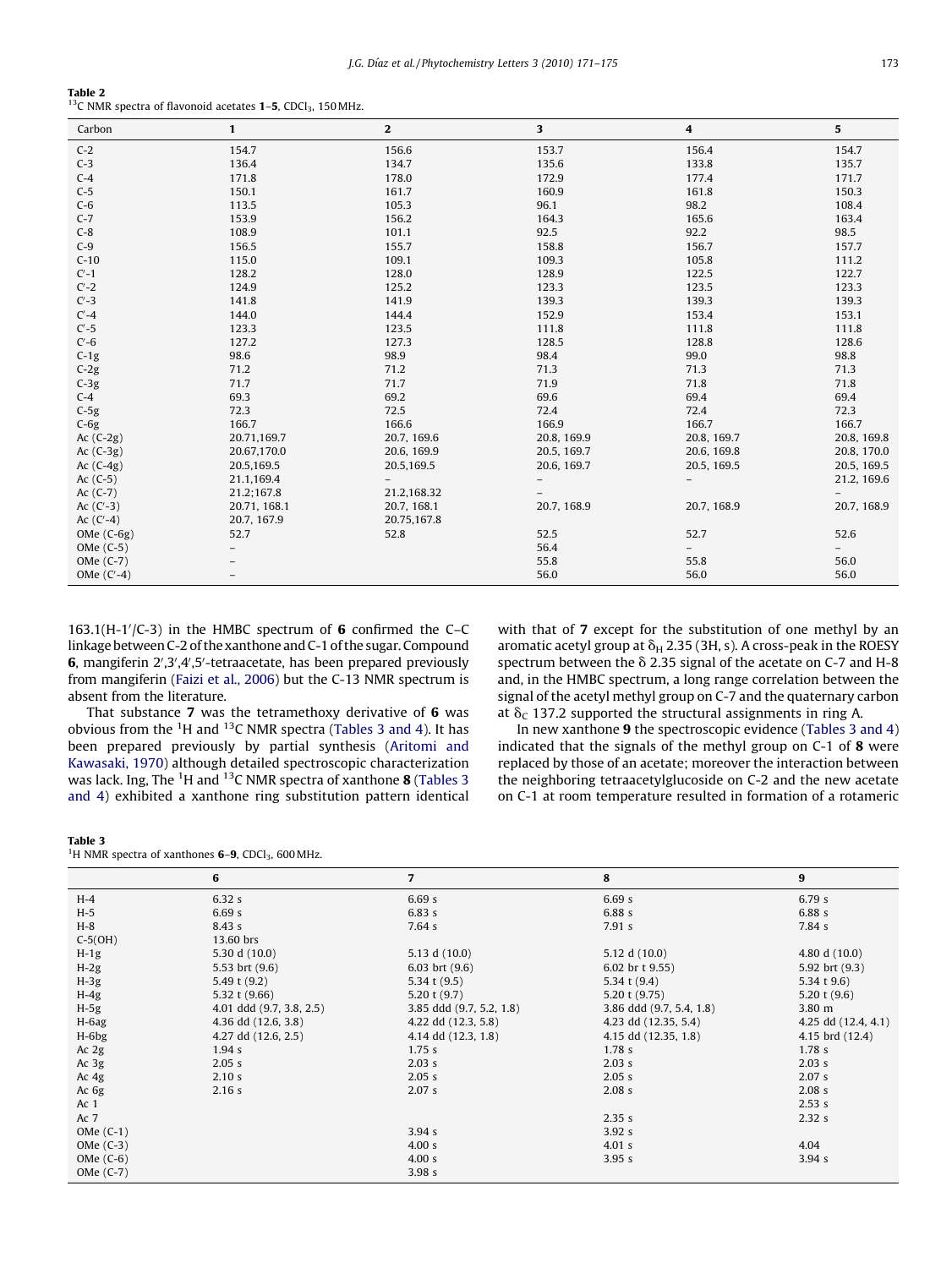<span id="page-2-0"></span>

| Table 2                                                                                    |  |  |  |
|--------------------------------------------------------------------------------------------|--|--|--|
| <sup>13</sup> C NMR spectra of flavonoid acetates <b>1-5</b> , CDCl <sub>3</sub> , 150 MHz |  |  |  |

| Carbon       | $\mathbf{1}$ | $\mathbf{2}$ | 3           | 4           | $\overline{\mathbf{5}}$ |
|--------------|--------------|--------------|-------------|-------------|-------------------------|
| $C-2$        | 154.7        | 156.6        | 153.7       | 156.4       | 154.7                   |
| $C-3$        | 136.4        | 134.7        | 135.6       | 133.8       | 135.7                   |
| $C-4$        | 171.8        | 178.0        | 172.9       | 177.4       | 171.7                   |
| $C-5$        | 150.1        | 161.7        | 160.9       | 161.8       | 150.3                   |
| $C-6$        | 113.5        | 105.3        | 96.1        | 98.2        | 108.4                   |
| $C-7$        | 153.9        | 156.2        | 164.3       | 165.6       | 163.4                   |
| $C-8$        | 108.9        | 101.1        | 92.5        | 92.2        | 98.5                    |
| $C-9$        | 156.5        | 155.7        | 158.8       | 156.7       | 157.7                   |
| $C-10$       | 115.0        | 109.1        | 109.3       | 105.8       | 111.2                   |
| $C'-1$       | 128.2        | 128.0        | 128.9       | 122.5       | 122.7                   |
| $C'-2$       | 124.9        | 125.2        | 123.3       | 123.5       | 123.3                   |
| $C'$ -3      | 141.8        | 141.9        | 139.3       | 139.3       | 139.3                   |
| $C' - 4$     | 144.0        | 144.4        | 152.9       | 153.4       | 153.1                   |
| $C'-5$       | 123.3        | 123.5        | 111.8       | 111.8       | 111.8                   |
| $C'-6$       | 127.2        | 127.3        | 128.5       | 128.8       | 128.6                   |
| $C-1g$       | 98.6         | 98.9         | 98.4        | 99.0        | 98.8                    |
| $C-2g$       | 71.2         | 71.2         | 71.3        | 71.3        | 71.3                    |
| $C-3g$       | 71.7         | 71.7         | 71.9        | 71.8        | 71.8                    |
| $C-4$        | 69.3         | 69.2         | 69.6        | 69.4        | 69.4                    |
| $C-5g$       | 72.3         | 72.5         | 72.4        | 72.4        | 72.3                    |
| $C-6g$       | 166.7        | 166.6        | 166.9       | 166.7       | 166.7                   |
| Ac $(C-2g)$  | 20.71,169.7  | 20.7, 169.6  | 20.8, 169.9 | 20.8, 169.7 | 20.8, 169.8             |
| Ac $(C-3g)$  | 20.67,170.0  | 20.6, 169.9  | 20.5, 169.7 | 20.6, 169.8 | 20.8, 170.0             |
| Ac $(C-4g)$  | 20.5,169.5   | 20.5,169.5   | 20.6, 169.7 | 20.5, 169.5 | 20.5, 169.5             |
| Ac $(C-5)$   | 21.1,169.4   |              |             |             | 21.2, 169.6             |
| Ac $(C-7)$   | 21.2;167.8   | 21.2,168.32  |             |             |                         |
| Ac $(C-3)$   | 20.71, 168.1 | 20.7, 168.1  | 20.7, 168.9 | 20.7, 168.9 | 20.7, 168.9             |
| Ac $(C-4)$   | 20.7, 167.9  | 20.75,167.8  |             |             |                         |
| OMe $(C-6g)$ | 52.7         | 52.8         | 52.5        | 52.7        | 52.6                    |
| OMe (C-5)    |              |              | 56.4        |             |                         |
| OMe (C-7)    |              |              | 55.8        | 55.8        | 56.0                    |
| OMe $(C-4)$  |              |              | 56.0        | 56.0        | 56.0                    |

163.1(H-1 $/$ (C-3) in the HMBC spectrum of 6 confirmed the C-C linkage between C-2 of the xanthone and C-1 of the sugar. Compound 6, mangiferin 2',3',4',5'-tetraacetate, has been prepared previously from mangiferin [\(Faizi et al., 2006\)](#page-4-0) but the C-13 NMR spectrum is absent from the literature.

That substance 7 was the tetramethoxy derivative of 6 was obvious from the  ${}^{1}$ H and  ${}^{13}$ C NMR spectra (Tables 3 and 4). It has been prepared previously by partial synthesis [\(Aritomi and](#page-4-0) [Kawasaki, 1970](#page-4-0)) although detailed spectroscopic characterization was lack. Ing, The  $^1\mathrm{H}$  and  $^{13}\mathrm{C}$  NMR spectra of xanthone **8** (Tables 3 and 4) exhibited a xanthone ring substitution pattern identical with that of 7 except for the substitution of one methyl by an aromatic acetyl group at  $\delta_H$  2.35 (3H, s). A cross-peak in the ROESY spectrum between the  $\delta$  2.35 signal of the acetate on C-7 and H-8 and, in the HMBC spectrum, a long range correlation between the signal of the acetyl methyl group on C-7 and the quaternary carbon at  $\delta_c$  137.2 supported the structural assignments in ring A.

In new xanthone 9 the spectroscopic evidence (Tables 3 and 4) indicated that the signals of the methyl group on C-1 of 8 were replaced by those of an acetate; moreover the interaction between the neighboring tetraacetylglucoside on C-2 and the new acetate on C-1 at room temperature resulted in formation of a rotameric

|--|--|

|  |  |  | <sup>1</sup> H NMR spectra of xanthones <b>6–9</b> , CDCl <sub>3</sub> , 600 MHz. |  |  |  |
|--|--|--|-----------------------------------------------------------------------------------|--|--|--|
|--|--|--|-----------------------------------------------------------------------------------|--|--|--|

|                 | 6                        | $\overline{7}$           | 8                        | $\boldsymbol{9}$    |
|-----------------|--------------------------|--------------------------|--------------------------|---------------------|
| $H-4$           | 6.32s                    | 6.69s                    | 6.69s                    | 6.79s               |
| $H-5$           | 6.69s                    | 6.83s                    | 6.88 s                   | 6.88s               |
| $H-8$           | 8.43s                    | 7.64s                    | 7.91 s                   | 7.84 s              |
| $C-5(OH)$       | 13.60 brs                |                          |                          |                     |
| $H-1g$          | 5.30 d (10.0)            | 5.13 d (10.0)            | 5.12 d (10.0)            | 4.80 d (10.0)       |
| $H-2g$          | 5.53 brt (9.6)           | 6.03 brt $(9.6)$         | 6.02 br t 9.55)          | 5.92 brt (9.3)      |
| $H-3g$          | 5.49 t (9.2)             | 5.34 t $(9.5)$           | 5.34 t $(9.4)$           | 5.34 t $9.6$ )      |
| $H-4g$          | 5.32 t $(9.66)$          | 5.20 t $(9.7)$           | 5.20 t $(9.75)$          | 5.20 t $(9.6)$      |
| $H-5g$          | 4.01 ddd (9.7, 3.8, 2.5) | 3.85 ddd (9.7, 5.2, 1.8) | 3.86 ddd (9.7, 5.4, 1.8) | 3.80 m              |
| $H-6ag$         | 4.36 dd (12.6, 3.8)      | 4.22 dd (12.3, 5.8)      | 4.23 dd (12.35, 5.4)     | 4.25 dd (12.4, 4.1) |
| $H-6bg$         | 4.27 dd (12.6, 2.5)      | 4.14 dd (12.3, 1.8)      | 4.15 dd (12.35, 1.8)     | 4.15 brd (12.4)     |
| Ac $2g$         | 1.94 s                   | 1.75s                    | 1.78 <sub>s</sub>        | 1.78 <sub>s</sub>   |
| Ac $3g$         | 2.05 s                   | 2.03 s                   | 2.03 s                   | 2.03 s              |
| Ac $4g$         | 2.10 s                   | 2.05 s                   | 2.05 s                   | 2.07 s              |
| Ac 6g           | 2.16 s                   | 2.07 s                   | 2.08 s                   | 2.08 s              |
| Ac <sub>1</sub> |                          |                          |                          | 2.53 s              |
| Ac 7            |                          |                          | 2.35 s                   | 2.32 s              |
| OMe $(C-1)$     |                          | 3.94s                    | 3.92s                    |                     |
| OMe $(C-3)$     |                          | 4.00 s                   | 4.01 s                   | 4.04                |
| OMe $(C-6)$     |                          | 4.00 s                   | 3.95s                    | 3.94s               |
| OMe (C-7)       |                          | 3.98s                    |                          |                     |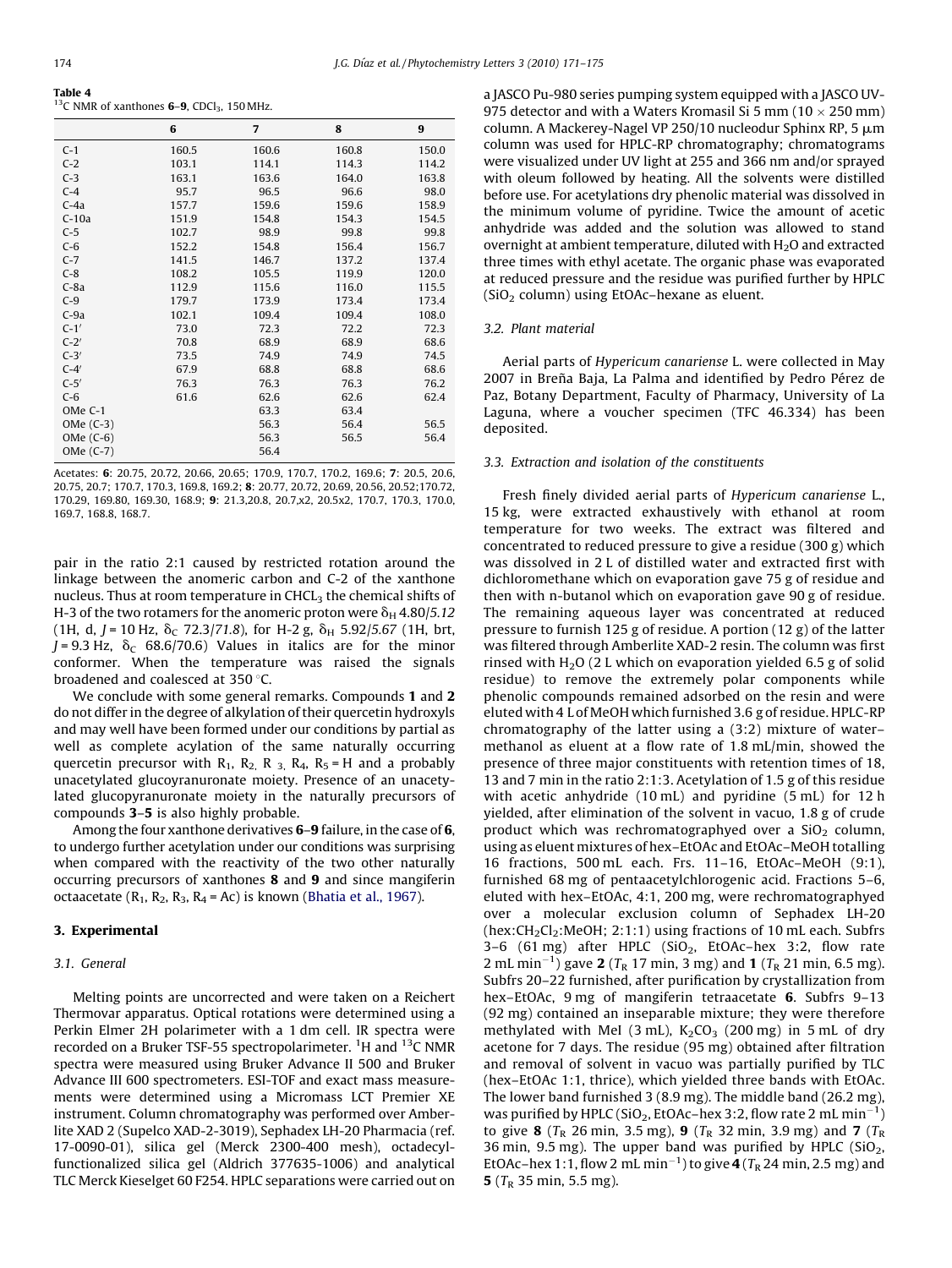<span id="page-3-0"></span>

| .                                                                          |  |
|----------------------------------------------------------------------------|--|
| <sup>13</sup> C NMR of xanthones <b>6-9</b> , CDCl <sub>3</sub> , 150 MHz. |  |

|           | 6     | $\overline{7}$ | 8     | 9     |
|-----------|-------|----------------|-------|-------|
| $C-1$     | 160.5 | 160.6          | 160.8 | 150.0 |
| $C-2$     | 103.1 | 114.1          | 114.3 | 114.2 |
| $C-3$     | 163.1 | 163.6          | 164.0 | 163.8 |
| $C-4$     | 95.7  | 96.5           | 96.6  | 98.0  |
| $C-4a$    | 157.7 | 159.6          | 159.6 | 158.9 |
| $C-10a$   | 151.9 | 154.8          | 154.3 | 154.5 |
| $C-5$     | 102.7 | 98.9           | 99.8  | 99.8  |
| $C-6$     | 152.2 | 154.8          | 156.4 | 156.7 |
| $C-7$     | 141.5 | 146.7          | 137.2 | 137.4 |
| $C-8$     | 108.2 | 105.5          | 119.9 | 120.0 |
| $C-8a$    | 112.9 | 115.6          | 116.0 | 115.5 |
| $C-9$     | 179.7 | 173.9          | 173.4 | 173.4 |
| $C-9a$    | 102.1 | 109.4          | 109.4 | 108.0 |
| $C-1'$    | 73.0  | 72.3           | 72.2  | 72.3  |
| $C-2'$    | 70.8  | 68.9           | 68.9  | 68.6  |
| $C-3'$    | 73.5  | 74.9           | 74.9  | 74.5  |
| $C-4'$    | 67.9  | 68.8           | 68.8  | 68.6  |
| $C-5'$    | 76.3  | 76.3           | 76.3  | 76.2  |
| $C-6$     | 61.6  | 62.6           | 62.6  | 62.4  |
| OMe C-1   |       | 63.3           | 63.4  |       |
| OMe (C-3) |       | 56.3           | 56.4  | 56.5  |
| OMe (C-6) |       | 56.3           | 56.5  | 56.4  |
| OMe (C-7) |       | 56.4           |       |       |

Acetates: 6: 20.75, 20.72, 20.66, 20.65; 170.9, 170.7, 170.2, 169.6; 7: 20.5, 20.6, 20.75, 20.7; 170.7, 170.3, 169.8, 169.2; 8: 20.77, 20.72, 20.69, 20.56, 20.52;170.72, 170.29, 169.80, 169.30, 168.9; 9: 21.3,20.8, 20.7,x2, 20.5x2, 170.7, 170.3, 170.0, 169.7, 168.8, 168.7.

pair in the ratio 2:1 caused by restricted rotation around the linkage between the anomeric carbon and C-2 of the xanthone nucleus. Thus at room temperature in CHCL<sub>3</sub> the chemical shifts of H-3 of the two rotamers for the anomeric proton were  $\delta_H$  4.80/5.12 (1H, d, J = 10 Hz,  $\delta_c$  72.3/71.8), for H-2 g,  $\delta_H$  5.92/5.67 (1H, brt,  $J = 9.3$  Hz,  $\delta_c$  68.6/70.6) Values in italics are for the minor conformer. When the temperature was raised the signals broadened and coalesced at  $350$  °C.

We conclude with some general remarks. Compounds 1 and 2 do not differ in the degree of alkylation of their quercetin hydroxyls and may well have been formed under our conditions by partial as well as complete acylation of the same naturally occurring quercetin precursor with  $R_1$ ,  $R_2$ ,  $R_3$ ,  $R_4$ ,  $R_5$  = H and a probably unacetylated glucoyranuronate moiety. Presence of an unacetylated glucopyranuronate moiety in the naturally precursors of compounds 3–5 is also highly probable.

Among the four xanthone derivatives 6–9 failure, in the case of 6, to undergo further acetylation under our conditions was surprising when compared with the reactivity of the two other naturally occurring precursors of xanthones 8 and 9 and since mangiferin octaacetate  $(R_1, R_2, R_3, R_4 = Ac)$  is known ([Bhatia et al., 1967\)](#page-4-0).

#### 3. Experimental

#### 3.1. General

Melting points are uncorrected and were taken on a Reichert Thermovar apparatus. Optical rotations were determined using a Perkin Elmer 2H polarimeter with a 1 dm cell. IR spectra were recorded on a Bruker TSF-55 spectropolarimeter. <sup>1</sup>H and <sup>13</sup>C NMR spectra were measured using Bruker Advance II 500 and Bruker Advance III 600 spectrometers. ESI-TOF and exact mass measurements were determined using a Micromass LCT Premier XE instrument. Column chromatography was performed over Amberlite XAD 2 (Supelco XAD-2-3019), Sephadex LH-20 Pharmacia (ref. 17-0090-01), silica gel (Merck 2300-400 mesh), octadecylfunctionalized silica gel (Aldrich 377635-1006) and analytical TLC Merck Kieselget 60 F254. HPLC separations were carried out on a JASCO Pu-980 series pumping system equipped with a JASCO UV-975 detector and with a Waters Kromasil Si 5 mm (10  $\times$  250 mm) column. A Mackerey-Nagel VP 250/10 nucleodur Sphinx RP, 5  $\mu$ m column was used for HPLC-RP chromatography; chromatograms were visualized under UV light at 255 and 366 nm and/or sprayed with oleum followed by heating. All the solvents were distilled before use. For acetylations dry phenolic material was dissolved in the minimum volume of pyridine. Twice the amount of acetic anhydride was added and the solution was allowed to stand overnight at ambient temperature, diluted with  $H<sub>2</sub>O$  and extracted three times with ethyl acetate. The organic phase was evaporated at reduced pressure and the residue was purified further by HPLC (SiO<sub>2</sub> column) using EtOAc–hexane as eluent.

#### 3.2. Plant material

Aerial parts of Hypericum canariense L. were collected in May 2007 in Breña Baja, La Palma and identified by Pedro Pérez de Paz, Botany Department, Faculty of Pharmacy, University of La Laguna, where a voucher specimen (TFC 46.334) has been deposited.

#### 3.3. Extraction and isolation of the constituents

Fresh finely divided aerial parts of Hypericum canariense L., 15 kg, were extracted exhaustively with ethanol at room temperature for two weeks. The extract was filtered and concentrated to reduced pressure to give a residue (300 g) which was dissolved in 2 L of distilled water and extracted first with dichloromethane which on evaporation gave 75 g of residue and then with n-butanol which on evaporation gave 90 g of residue. The remaining aqueous layer was concentrated at reduced pressure to furnish 125 g of residue. A portion (12 g) of the latter was filtered through Amberlite XAD-2 resin. The column was first rinsed with  $H_2O$  (2 L which on evaporation yielded 6.5 g of solid residue) to remove the extremely polar components while phenolic compounds remained adsorbed on the resin and were eluted with 4 L of MeOH which furnished 3.6 g of residue. HPLC-RP chromatography of the latter using a (3:2) mixture of water– methanol as eluent at a flow rate of 1.8 mL/min, showed the presence of three major constituents with retention times of 18, 13 and 7 min in the ratio 2:1:3. Acetylation of 1.5 g of this residue with acetic anhydride (10 mL) and pyridine (5 mL) for 12 h yielded, after elimination of the solvent in vacuo, 1.8 g of crude product which was rechromatographyed over a  $SiO<sub>2</sub>$  column, using as eluent mixtures of hex–EtOAc and EtOAc–MeOH totalling 16 fractions, 500 mL each. Frs. 11–16, EtOAc–MeOH (9:1), furnished 68 mg of pentaacetylchlorogenic acid. Fractions 5–6, eluted with hex–EtOAc, 4:1, 200 mg, were rechromatographyed over a molecular exclusion column of Sephadex LH-20 (hex:CH<sub>2</sub>Cl<sub>2</sub>:MeOH; 2:1:1) using fractions of 10 mL each. Subfrs 3-6 (61 mg) after HPLC ( $SiO<sub>2</sub>$ , EtOAc-hex 3:2, flow rate 2 mL min<sup>-1</sup>) gave 2 ( $T_R$  17 min, 3 mg) and 1 ( $T_R$  21 min, 6.5 mg). Subfrs 20–22 furnished, after purification by crystallization from hex–EtOAc, 9 mg of mangiferin tetraacetate 6. Subfrs 9–13 (92 mg) contained an inseparable mixture; they were therefore methylated with MeI (3 mL),  $K_2CO_3$  (200 mg) in 5 mL of dry acetone for 7 days. The residue (95 mg) obtained after filtration and removal of solvent in vacuo was partially purified by TLC (hex–EtOAc 1:1, thrice), which yielded three bands with EtOAc. The lower band furnished 3 (8.9 mg). The middle band (26.2 mg), was purified by HPLC (SiO<sub>2</sub>, EtOAc-hex 3:2, flow rate 2 mL min<sup>-1</sup>) to give 8 ( $T_R$  26 min, 3.5 mg), 9 ( $T_R$  32 min, 3.9 mg) and 7 ( $T_R$ 36 min, 9.5 mg). The upper band was purified by HPLC ( $SiO<sub>2</sub>$ , EtOAc-hex 1:1, flow 2 mL min<sup>-1</sup>) to give  $4$  (T<sub>R</sub> 24 min, 2.5 mg) and **5** ( $T_R$  35 min, 5.5 mg).